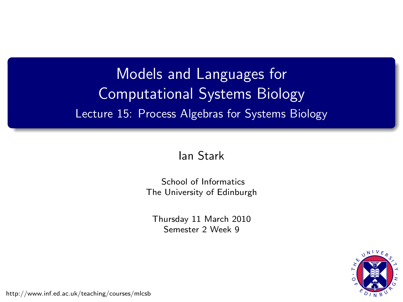### Models and Languages for Computational Systems Biology Lecture 15: Process Algebras for Systems Biology

#### [Ian Stark](http://homepages.ed.ac.uk/stark)

[School of Informatics](http://www.inf.ed.ac.uk) [The University of Edinburgh](http://www.ed.ac.uk)

Thursday 11 March 2010 Semester 2 Week 9



<span id="page-0-0"></span><http://www.inf.ed.ac.uk/teaching/courses/mlcsb>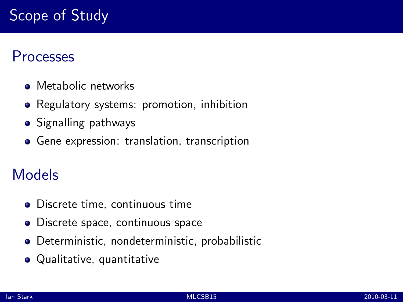### Processes

- Metabolic networks
- Regulatory systems: promotion, inhibition
- Signalling pathways
- Gene expression: translation, transcription

### Models

- Discrete time, continuous time
- Discrete space, continuous space
- Deterministic, nondeterministic, probabilistic
- Qualitative, quantitative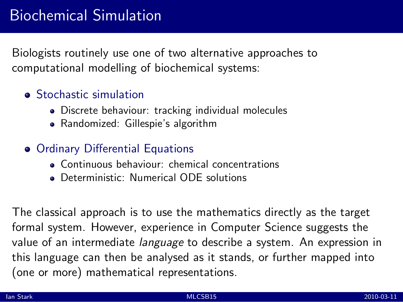Biologists routinely use one of two alternative approaches to computational modelling of biochemical systems:

#### **•** Stochastic simulation

- Discrete behaviour: tracking individual molecules
- Randomized: Gillespie's algorithm

#### **• Ordinary Differential Equations**

- Continuous behaviour: chemical concentrations
- **Deterministic: Numerical ODE solutions**

The classical approach is to use the mathematics directly as the target formal system. However, experience in Computer Science suggests the value of an intermediate *language* to describe a system. An expression in this language can then be analysed as it stands, or further mapped into (one or more) mathematical representations.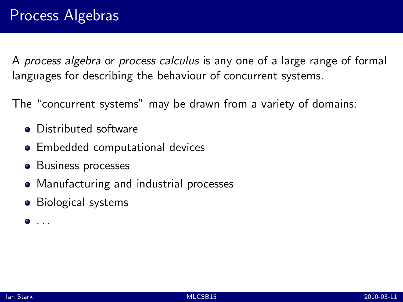The "concurrent systems" may be drawn from a variety of domains:

- Distributed software
- **•** Embedded computational devices
- Business processes
- Manufacturing and industrial processes
- Biological systems

 $\bullet$  . . .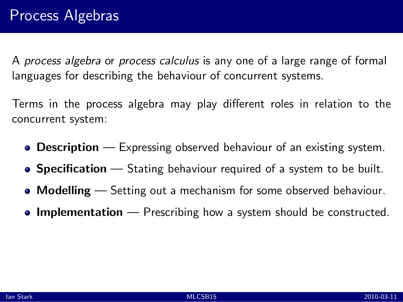Terms in the process algebra may play different roles in relation to the concurrent system:

- **Description** Expressing observed behaviour of an existing system.
- **Specification** Stating behaviour required of a system to be built.
- **Modelling** Setting out a mechanism for some observed behaviour.
- **Implementation** Prescribing how a system should be constructed.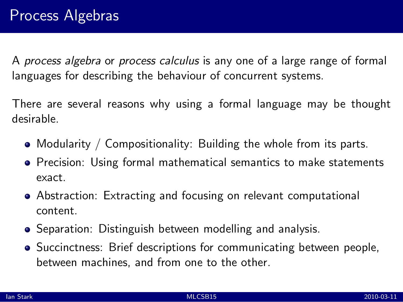There are several reasons why using a formal language may be thought desirable.

- Modularity / Compositionality: Building the whole from its parts.
- **•** Precision: Using formal mathematical semantics to make statements exact.
- Abstraction: Extracting and focusing on relevant computational content.
- **•** Separation: Distinguish between modelling and analysis.
- Succinctness: Brief descriptions for communicating between people, between machines, and from one to the other.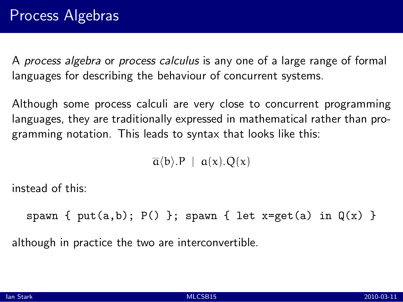Although some process calculi are very close to concurrent programming languages, they are traditionally expressed in mathematical rather than programming notation. This leads to syntax that looks like this:

 $\overline{a}$ (b).P |  $a(x)$ .O(x)

instead of this:

spawn {  $put(a,b)$ ;  $P()$  }; spawn { let x=get(a) in  $Q(x)$  }

although in practice the two are interconvertible.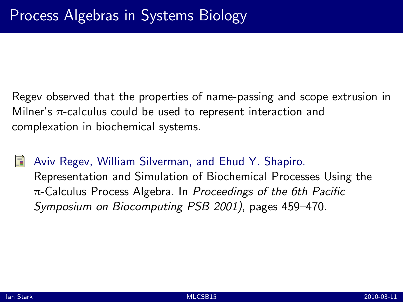Regev observed that the properties of name-passing and scope extrusion in Milner's  $\pi$ -calculus could be used to represent interaction and complexation in biochemical systems.

#### Aviv Regev, William Silverman, and Ehud Y. Shapiro.

[Representation and Simulation of Biochemical Processes Using the](http://helix-web.stanford.edu/psb01/regev.pdf) π[-Calculus Process Algebra.](http://helix-web.stanford.edu/psb01/regev.pdf) In *Proceedings of the 6th Pacific Symposium on Biocomputing PSB 2001)*, pages 459–470.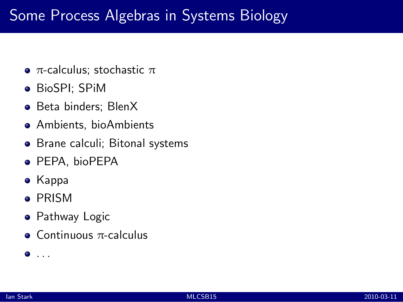### Some Process Algebras in Systems Biology

- $π$ -calculus; stochastic  $π$
- BioSPI; SPiM
- Beta binders; BlenX
- Ambients, bioAmbients
- Brane calculi; Bitonal systems
- **PEPA, bioPEPA**
- Kappa
- **PRISM**
- **•** Pathway Logic
- $\bullet$  Continuous  $\pi$ -calculus

 $\bullet$  ...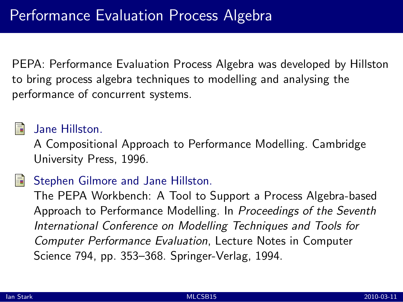PEPA: Performance Evaluation Process Algebra was developed by Hillston to bring process algebra techniques to modelling and analysing the performance of concurrent systems.

### Jane Hillston.

[A Compositional Approach to Performance Modelling.](http://www.dcs.ed.ac.uk/pepa/book.pdf) Cambridge University Press, 1996.

### Stephen Gilmore and Jane Hillston.

[The PEPA Workbench: A Tool to Support a Process Algebra-based](http://www.dcs.ed.ac.uk/pepa/workbench.pdf) [Approach to Performance Modelling.](http://www.dcs.ed.ac.uk/pepa/workbench.pdf) In *Proceedings of the Seventh International Conference on Modelling Techniques and Tools for Computer Performance Evaluation*, Lecture Notes in Computer Science 794, pp. 353–368. Springer-Verlag, 1994.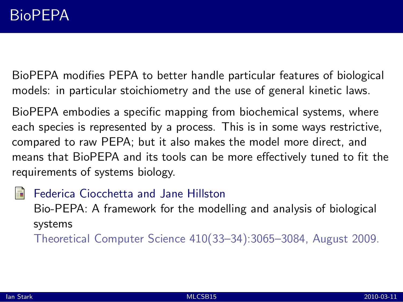BioPEPA modifies PEPA to better handle particular features of biological models: in particular stoichiometry and the use of general kinetic laws.

BioPEPA embodies a specific mapping from biochemical systems, where each species is represented by a process. This is in some ways restrictive, compared to raw PEPA; but it also makes the model more direct, and means that BioPEPA and its tools can be more effectively tuned to fit the requirements of systems biology.

Federica Ciocchetta and Jane Hillston [Bio-PEPA: A framework for the modelling and analysis of biological](http://dx.doi.org.ezproxy.webfeat.lib.ed.ac.uk/10.1016/j.tcs.2009.02.037) [systems](http://dx.doi.org.ezproxy.webfeat.lib.ed.ac.uk/10.1016/j.tcs.2009.02.037) Theoretical Computer Science 410(33–34):3065–3084, August 2009.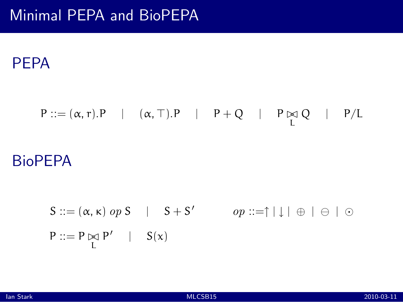### PEPA

# $P ::= (\alpha, r).P$  |  $(\alpha, \top).P$  |  $P + Q$  |  $P \not\approx Q$  |  $P/L$

### **BioPEPA**

$$
S ::= (\alpha, \kappa) \text{ op } S \quad | \quad S + S' \qquad \text{ op } ::= \uparrow | \downarrow | \oplus | \ominus | \odot
$$
\n
$$
P ::= P \not\trianglerighteq P' \quad | \quad S(x)
$$